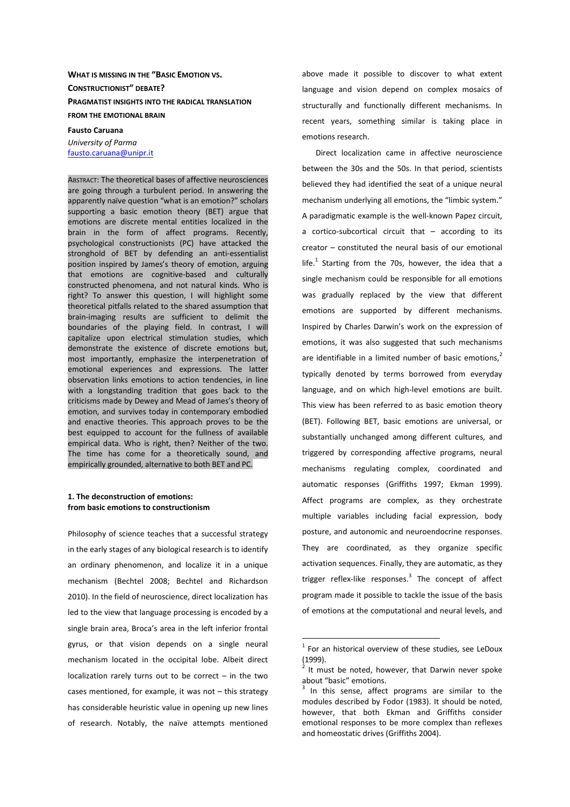# **WHAT IS MISSING IN THE "BASIC EMOTION VS. CONSTRUCTIONIST" DEBATE? PRAGMATIST INSIGHTS INTO THE RADICAL TRANSLATION FROM THE EMOTIONAL BRAIN**

**Fausto Caruana**  *University of Parma* fausto.caruana@unipr.it

ABSTRACT: The theoretical bases of affective neurosciences are going through a turbulent period. In answering the apparently naïve question "what is an emotion?" scholars supporting a basic emotion theory (BET) argue that emotions are discrete mental entities localized in the brain in the form of affect programs. Recently, psychological constructionists (PC) have attacked the stronghold of BET by defending an anti-essentialist position inspired by James's theory of emotion, arguing that emotions are cognitive-based and culturally constructed phenomena, and not natural kinds. Who is right? To answer this question, I will highlight some theoretical pitfalls related to the shared assumption that brain-imaging results are sufficient to delimit the boundaries of the playing field. In contrast, I will capitalize upon electrical stimulation studies, which demonstrate the existence of discrete emotions but, most importantly, emphasize the interpenetration of emotional experiences and expressions. The latter observation links emotions to action tendencies, in line with a longstanding tradition that goes back to the criticisms made by Dewey and Mead of James's theory of emotion, and survives today in contemporary embodied and enactive theories. This approach proves to be the best equipped to account for the fullness of available empirical data. Who is right, then? Neither of the two. The time has come for a theoretically sound, and empirically grounded, alternative to both BET and PC.

### **1. The deconstruction of emotions: from basic emotions to constructionism**

Philosophy of science teaches that a successful strategy in the early stages of any biological research is to identify an ordinary phenomenon, and localize it in a unique mechanism (Bechtel 2008; Bechtel and Richardson 2010). In the field of neuroscience, direct localization has led to the view that language processing is encoded by a single brain area, Broca's area in the left inferior frontal gyrus, or that vision depends on a single neural mechanism located in the occipital lobe. Albeit direct localization rarely turns out to be correct – in the two cases mentioned, for example, it was not – this strategy has considerable heuristic value in opening up new lines of research. Notably, the naïve attempts mentioned above made it possible to discover to what extent language and vision depend on complex mosaics of structurally and functionally different mechanisms. In recent years, something similar is taking place in emotions research.

Direct localization came in affective neuroscience between the 30s and the 50s. In that period, scientists believed they had identified the seat of a unique neural mechanism underlying all emotions, the "limbic system." A paradigmatic example is the well-known Papez circuit, a cortico-subcortical circuit that – according to its creator – constituted the neural basis of our emotional life. $^1$  Starting from the 70s, however, the idea that a single mechanism could be responsible for all emotions was gradually replaced by the view that different emotions are supported by different mechanisms. Inspired by Charles Darwin's work on the expression of emotions, it was also suggested that such mechanisms are identifiable in a limited number of basic emotions, $^{2}$ typically denoted by terms borrowed from everyday language, and on which high-level emotions are built. This view has been referred to as basic emotion theory (BET). Following BET, basic emotions are universal, or substantially unchanged among different cultures, and triggered by corresponding affective programs, neural mechanisms regulating complex, coordinated and automatic responses (Griffiths 1997; Ekman 1999). Affect programs are complex, as they orchestrate multiple variables including facial expression, body posture, and autonomic and neuroendocrine responses. They are coordinated, as they organize specific activation sequences. Finally, they are automatic, as they trigger reflex-like responses.<sup>3</sup> The concept of affect program made it possible to tackle the issue of the basis of emotions at the computational and neural levels, and

 $1$  For an historical overview of these studies, see LeDoux (1999).

<sup>2</sup> It must be noted, however, that Darwin never spoke about "basic" emotions.

<sup>&</sup>lt;sup>3</sup> In this sense, affect programs are similar to the modules described by Fodor (1983). It should be noted, however, that both Ekman and Griffiths consider emotional responses to be more complex than reflexes and homeostatic drives (Griffiths 2004).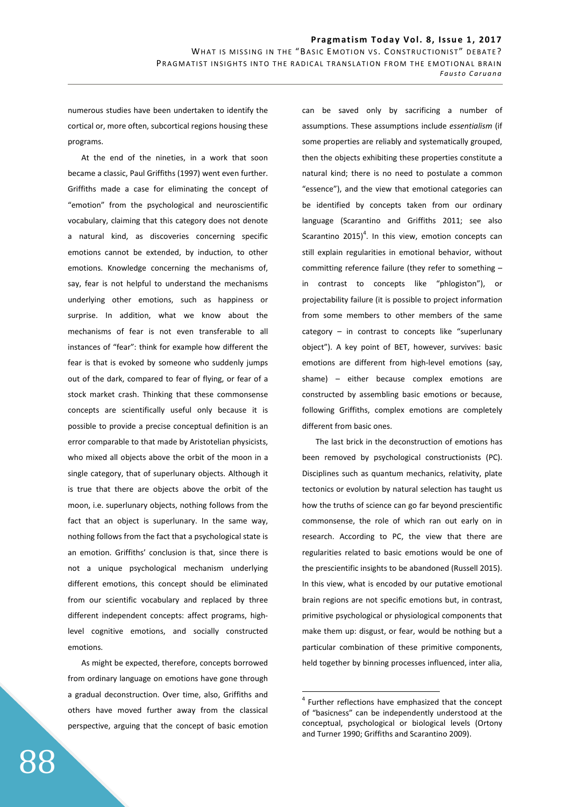numerous studies have been undertaken to identify the cortical or, more often, subcortical regions housing these programs.

At the end of the nineties, in a work that soon became a classic, Paul Griffiths (1997) went even further. Griffiths made a case for eliminating the concept of "emotion" from the psychological and neuroscientific vocabulary, claiming that this category does not denote a natural kind, as discoveries concerning specific emotions cannot be extended, by induction, to other emotions. Knowledge concerning the mechanisms of, say, fear is not helpful to understand the mechanisms underlying other emotions, such as happiness or surprise. In addition, what we know about the mechanisms of fear is not even transferable to all instances of "fear": think for example how different the fear is that is evoked by someone who suddenly jumps out of the dark, compared to fear of flying, or fear of a stock market crash. Thinking that these commonsense concepts are scientifically useful only because it is possible to provide a precise conceptual definition is an error comparable to that made by Aristotelian physicists, who mixed all objects above the orbit of the moon in a single category, that of superlunary objects. Although it is true that there are objects above the orbit of the moon, i.e. superlunary objects, nothing follows from the fact that an object is superlunary. In the same way, nothing follows from the fact that a psychological state is an emotion. Griffiths' conclusion is that, since there is not a unique psychological mechanism underlying different emotions, this concept should be eliminated from our scientific vocabulary and replaced by three different independent concepts: affect programs, highlevel cognitive emotions, and socially constructed emotions.

As might be expected, therefore, concepts borrowed from ordinary language on emotions have gone through a gradual deconstruction. Over time, also, Griffiths and others have moved further away from the classical perspective, arguing that the concept of basic emotion can be saved only by sacrificing a number of assumptions. These assumptions include *essentialism* (if some properties are reliably and systematically grouped, then the objects exhibiting these properties constitute a natural kind; there is no need to postulate a common "essence"), and the view that emotional categories can be identified by concepts taken from our ordinary language (Scarantino and Griffiths 2011; see also Scarantino 2015)<sup>4</sup>. In this view, emotion concepts can still explain regularities in emotional behavior, without committing reference failure (they refer to something – in contrast to concepts like "phlogiston"), or projectability failure (it is possible to project information from some members to other members of the same category – in contrast to concepts like "superlunary object"). A key point of BET, however, survives: basic emotions are different from high-level emotions (say, shame) – either because complex emotions are constructed by assembling basic emotions or because, following Griffiths, complex emotions are completely different from basic ones.

The last brick in the deconstruction of emotions has been removed by psychological constructionists (PC). Disciplines such as quantum mechanics, relativity, plate tectonics or evolution by natural selection has taught us how the truths of science can go far beyond prescientific commonsense, the role of which ran out early on in research. According to PC, the view that there are regularities related to basic emotions would be one of the prescientific insights to be abandoned (Russell 2015). In this view, what is encoded by our putative emotional brain regions are not specific emotions but, in contrast, primitive psychological or physiological components that make them up: disgust, or fear, would be nothing but a particular combination of these primitive components, held together by binning processes influenced, inter alia,

<sup>&</sup>lt;sup>4</sup> Further reflections have emphasized that the concept of "basicness" can be independently understood at the conceptual, psychological or biological levels (Ortony and Turner 1990; Griffiths and Scarantino 2009).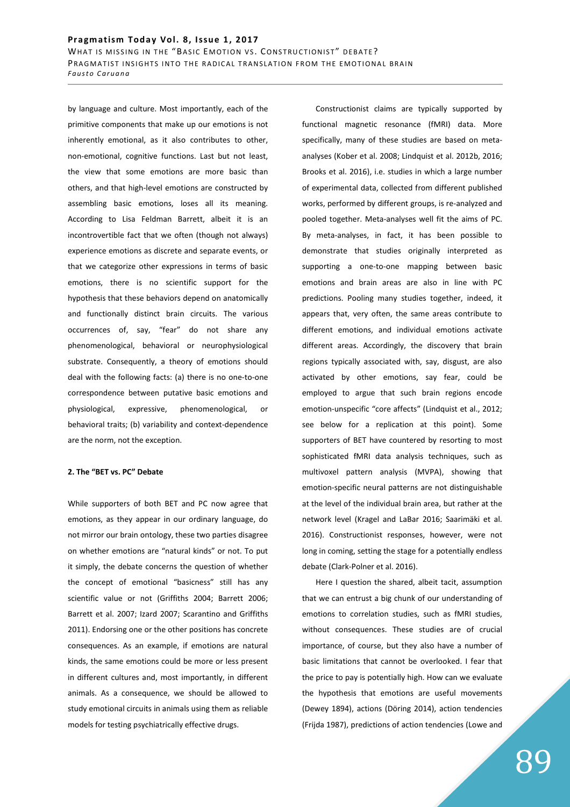by language and culture. Most importantly, each of the primitive components that make up our emotions is not inherently emotional, as it also contributes to other, non-emotional, cognitive functions. Last but not least, the view that some emotions are more basic than others, and that high-level emotions are constructed by assembling basic emotions, loses all its meaning. According to Lisa Feldman Barrett, albeit it is an incontrovertible fact that we often (though not always) experience emotions as discrete and separate events, or that we categorize other expressions in terms of basic emotions, there is no scientific support for the hypothesis that these behaviors depend on anatomically and functionally distinct brain circuits. The various occurrences of, say, "fear" do not share any phenomenological, behavioral or neurophysiological substrate. Consequently, a theory of emotions should deal with the following facts: (a) there is no one-to-one correspondence between putative basic emotions and physiological, expressive, phenomenological, or behavioral traits; (b) variability and context-dependence are the norm, not the exception.

### **2. The "BET vs. PC" Debate**

While supporters of both BET and PC now agree that emotions, as they appear in our ordinary language, do not mirror our brain ontology, these two parties disagree on whether emotions are "natural kinds" or not. To put it simply, the debate concerns the question of whether the concept of emotional "basicness" still has any scientific value or not (Griffiths 2004; Barrett 2006; Barrett et al. 2007; Izard 2007; Scarantino and Griffiths 2011). Endorsing one or the other positions has concrete consequences. As an example, if emotions are natural kinds, the same emotions could be more or less present in different cultures and, most importantly, in different animals. As a consequence, we should be allowed to study emotional circuits in animals using them as reliable models for testing psychiatrically effective drugs.

Constructionist claims are typically supported by functional magnetic resonance (fMRI) data. More specifically, many of these studies are based on metaanalyses (Kober et al. 2008; Lindquist et al. 2012b, 2016; Brooks et al. 2016), i.e. studies in which a large number of experimental data, collected from different published works, performed by different groups, is re-analyzed and pooled together. Meta-analyses well fit the aims of PC. By meta-analyses, in fact, it has been possible to demonstrate that studies originally interpreted as supporting a one-to-one mapping between basic emotions and brain areas are also in line with PC predictions. Pooling many studies together, indeed, it appears that, very often, the same areas contribute to different emotions, and individual emotions activate different areas. Accordingly, the discovery that brain regions typically associated with, say, disgust, are also activated by other emotions, say fear, could be employed to argue that such brain regions encode emotion-unspecific "core affects" (Lindquist et al., 2012; see below for a replication at this point). Some supporters of BET have countered by resorting to most sophisticated fMRI data analysis techniques, such as multivoxel pattern analysis (MVPA), showing that emotion-specific neural patterns are not distinguishable at the level of the individual brain area, but rather at the network level (Kragel and LaBar 2016; Saarimäki et al. 2016). Constructionist responses, however, were not long in coming, setting the stage for a potentially endless debate (Clark-Polner et al. 2016).

Here I question the shared, albeit tacit, assumption that we can entrust a big chunk of our understanding of emotions to correlation studies, such as fMRI studies, without consequences. These studies are of crucial importance, of course, but they also have a number of basic limitations that cannot be overlooked. I fear that the price to pay is potentially high. How can we evaluate the hypothesis that emotions are useful movements (Dewey 1894), actions (Döring 2014), action tendencies (Frijda 1987), predictions of action tendencies (Lowe and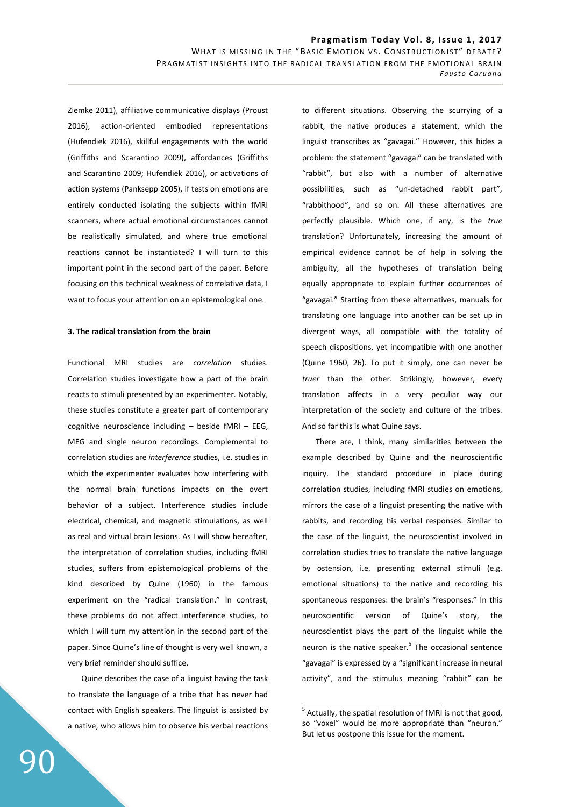Ziemke 2011), affiliative communicative displays (Proust 2016), action-oriented embodied representations (Hufendiek 2016), skillful engagements with the world (Griffiths and Scarantino 2009), affordances (Griffiths and Scarantino 2009; Hufendiek 2016), or activations of action systems (Panksepp 2005), if tests on emotions are entirely conducted isolating the subjects within fMRI scanners, where actual emotional circumstances cannot be realistically simulated, and where true emotional reactions cannot be instantiated? I will turn to this important point in the second part of the paper. Before focusing on this technical weakness of correlative data, I want to focus your attention on an epistemological one.

### **3. The radical translation from the brain**

Functional MRI studies are *correlation* studies. Correlation studies investigate how a part of the brain reacts to stimuli presented by an experimenter. Notably, these studies constitute a greater part of contemporary cognitive neuroscience including – beside fMRI – EEG, MEG and single neuron recordings. Complemental to correlation studies are *interference* studies, i.e. studies in which the experimenter evaluates how interfering with the normal brain functions impacts on the overt behavior of a subject. Interference studies include electrical, chemical, and magnetic stimulations, as well as real and virtual brain lesions. As I will show hereafter, the interpretation of correlation studies, including fMRI studies, suffers from epistemological problems of the kind described by Quine (1960) in the famous experiment on the "radical translation." In contrast, these problems do not affect interference studies, to which I will turn my attention in the second part of the paper. Since Quine's line of thought is very well known, a very brief reminder should suffice.

Quine describes the case of a linguist having the task to translate the language of a tribe that has never had contact with English speakers. The linguist is assisted by a native, who allows him to observe his verbal reactions to different situations. Observing the scurrying of a rabbit, the native produces a statement, which the linguist transcribes as "gavagai." However, this hides a problem: the statement "gavagai" can be translated with "rabbit", but also with a number of alternative possibilities, such as "un-detached rabbit part", "rabbithood", and so on. All these alternatives are perfectly plausible. Which one, if any, is the *true* translation? Unfortunately, increasing the amount of empirical evidence cannot be of help in solving the ambiguity, all the hypotheses of translation being equally appropriate to explain further occurrences of "gavagai." Starting from these alternatives, manuals for translating one language into another can be set up in divergent ways, all compatible with the totality of speech dispositions, yet incompatible with one another (Quine 1960, 26). To put it simply, one can never be *truer* than the other. Strikingly, however, every translation affects in a very peculiar way our interpretation of the society and culture of the tribes. And so far this is what Quine says.

There are, I think, many similarities between the example described by Quine and the neuroscientific inquiry. The standard procedure in place during correlation studies, including fMRI studies on emotions, mirrors the case of a linguist presenting the native with rabbits, and recording his verbal responses. Similar to the case of the linguist, the neuroscientist involved in correlation studies tries to translate the native language by ostension, i.e. presenting external stimuli (e.g. emotional situations) to the native and recording his spontaneous responses: the brain's "responses." In this neuroscientific version of Quine's story, the neuroscientist plays the part of the linguist while the neuron is the native speaker.<sup>5</sup> The occasional sentence "gavagai" is expressed by a "significant increase in neural activity", and the stimulus meaning "rabbit" can be

 $\overline{a}$ 

 $<sup>5</sup>$  Actually, the spatial resolution of fMRI is not that good,</sup> so "voxel" would be more appropriate than "neuron." But let us postpone this issue for the moment.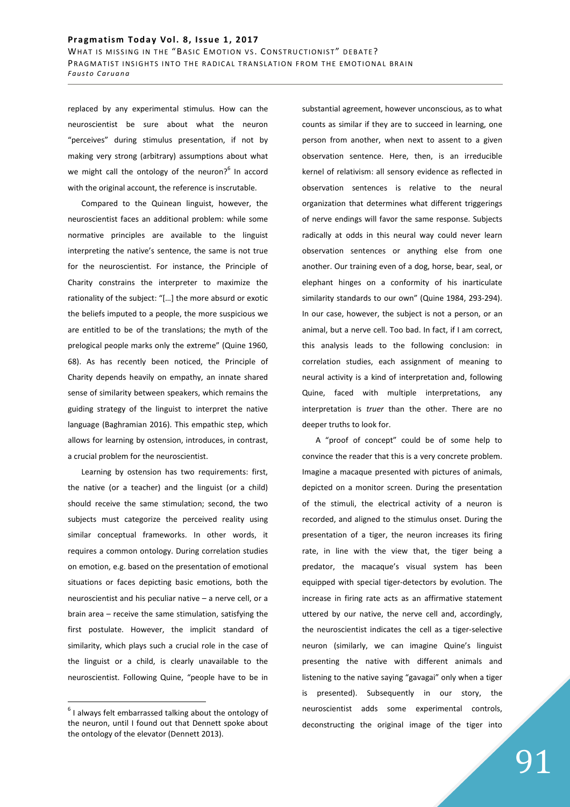replaced by any experimental stimulus. How can the neuroscientist be sure about what the neuron "perceives" during stimulus presentation, if not by making very strong (arbitrary) assumptions about what we might call the ontology of the neuron?<sup>6</sup> In accord with the original account, the reference is inscrutable.

Compared to the Quinean linguist, however, the neuroscientist faces an additional problem: while some normative principles are available to the linguist interpreting the native's sentence, the same is not true for the neuroscientist. For instance, the Principle of Charity constrains the interpreter to maximize the rationality of the subject: "[…] the more absurd or exotic the beliefs imputed to a people, the more suspicious we are entitled to be of the translations; the myth of the prelogical people marks only the extreme" (Quine 1960, 68). As has recently been noticed, the Principle of Charity depends heavily on empathy, an innate shared sense of similarity between speakers, which remains the guiding strategy of the linguist to interpret the native language (Baghramian 2016). This empathic step, which allows for learning by ostension, introduces, in contrast, a crucial problem for the neuroscientist.

Learning by ostension has two requirements: first, the native (or a teacher) and the linguist (or a child) should receive the same stimulation; second, the two subjects must categorize the perceived reality using similar conceptual frameworks. In other words, it requires a common ontology. During correlation studies on emotion, e.g. based on the presentation of emotional situations or faces depicting basic emotions, both the neuroscientist and his peculiar native – a nerve cell, or a brain area – receive the same stimulation, satisfying the first postulate. However, the implicit standard of similarity, which plays such a crucial role in the case of the linguist or a child, is clearly unavailable to the neuroscientist. Following Quine, "people have to be in

 $\overline{a}$ 

substantial agreement, however unconscious, as to what counts as similar if they are to succeed in learning, one person from another, when next to assent to a given observation sentence. Here, then, is an irreducible kernel of relativism: all sensory evidence as reflected in observation sentences is relative to the neural organization that determines what different triggerings of nerve endings will favor the same response. Subjects radically at odds in this neural way could never learn observation sentences or anything else from one another. Our training even of a dog, horse, bear, seal, or elephant hinges on a conformity of his inarticulate similarity standards to our own" (Quine 1984, 293-294). In our case, however, the subject is not a person, or an animal, but a nerve cell. Too bad. In fact, if I am correct, this analysis leads to the following conclusion: in correlation studies, each assignment of meaning to neural activity is a kind of interpretation and, following Quine, faced with multiple interpretations, any interpretation is *truer* than the other. There are no deeper truths to look for.

A "proof of concept" could be of some help to convince the reader that this is a very concrete problem. Imagine a macaque presented with pictures of animals, depicted on a monitor screen. During the presentation of the stimuli, the electrical activity of a neuron is recorded, and aligned to the stimulus onset. During the presentation of a tiger, the neuron increases its firing rate, in line with the view that, the tiger being a predator, the macaque's visual system has been equipped with special tiger-detectors by evolution. The increase in firing rate acts as an affirmative statement uttered by our native, the nerve cell and, accordingly, the neuroscientist indicates the cell as a tiger-selective neuron (similarly, we can imagine Quine's linguist presenting the native with different animals and listening to the native saying "gavagai" only when a tiger is presented). Subsequently in our story, the neuroscientist adds some experimental controls, deconstructing the original image of the tiger into

 $6$  I always felt embarrassed talking about the ontology of the neuron, until I found out that Dennett spoke about the ontology of the elevator (Dennett 2013).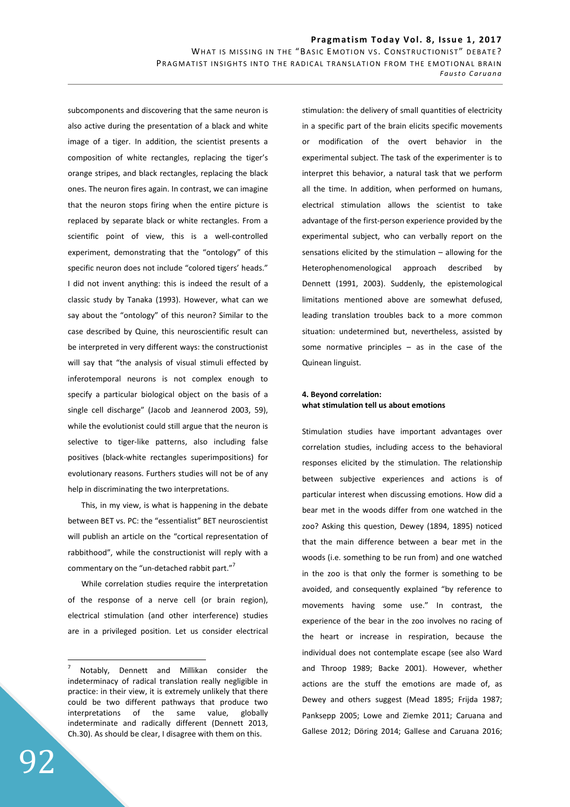subcomponents and discovering that the same neuron is also active during the presentation of a black and white image of a tiger. In addition, the scientist presents a composition of white rectangles, replacing the tiger's orange stripes, and black rectangles, replacing the black ones. The neuron fires again. In contrast, we can imagine that the neuron stops firing when the entire picture is replaced by separate black or white rectangles. From a scientific point of view, this is a well-controlled experiment, demonstrating that the "ontology" of this specific neuron does not include "colored tigers' heads." I did not invent anything: this is indeed the result of a classic study by Tanaka (1993). However, what can we say about the "ontology" of this neuron? Similar to the case described by Quine, this neuroscientific result can be interpreted in very different ways: the constructionist will say that "the analysis of visual stimuli effected by inferotemporal neurons is not complex enough to specify a particular biological object on the basis of a single cell discharge" (Jacob and Jeannerod 2003, 59), while the evolutionist could still argue that the neuron is selective to tiger-like patterns, also including false positives (black-white rectangles superimpositions) for evolutionary reasons. Furthers studies will not be of any help in discriminating the two interpretations.

This, in my view, is what is happening in the debate between BET vs. PC: the "essentialist" BET neuroscientist will publish an article on the "cortical representation of rabbithood", while the constructionist will reply with a commentary on the "un-detached rabbit part."<sup>7</sup>

While correlation studies require the interpretation of the response of a nerve cell (or brain region), electrical stimulation (and other interference) studies are in a privileged position. Let us consider electrical stimulation: the delivery of small quantities of electricity in a specific part of the brain elicits specific movements or modification of the overt behavior in the experimental subject. The task of the experimenter is to interpret this behavior, a natural task that we perform all the time. In addition, when performed on humans, electrical stimulation allows the scientist to take advantage of the first-person experience provided by the experimental subject, who can verbally report on the sensations elicited by the stimulation – allowing for the Heterophenomenological approach described by Dennett (1991, 2003). Suddenly, the epistemological limitations mentioned above are somewhat defused, leading translation troubles back to a more common situation: undetermined but, nevertheless, assisted by some normative principles  $-$  as in the case of the Quinean linguist.

## **4. Beyond correlation: what stimulation tell us about emotions**

Stimulation studies have important advantages over correlation studies, including access to the behavioral responses elicited by the stimulation. The relationship between subjective experiences and actions is of particular interest when discussing emotions. How did a bear met in the woods differ from one watched in the zoo? Asking this question, Dewey (1894, 1895) noticed that the main difference between a bear met in the woods (i.e. something to be run from) and one watched in the zoo is that only the former is something to be avoided, and consequently explained "by reference to movements having some use." In contrast, the experience of the bear in the zoo involves no racing of the heart or increase in respiration, because the individual does not contemplate escape (see also Ward and Throop 1989; Backe 2001). However, whether actions are the stuff the emotions are made of, as Dewey and others suggest (Mead 1895; Frijda 1987; Panksepp 2005; Lowe and Ziemke 2011; Caruana and Gallese 2012; Döring 2014; Gallese and Caruana 2016;

<sup>7</sup> Notably, Dennett and Millikan consider the indeterminacy of radical translation really negligible in practice: in their view, it is extremely unlikely that there could be two different pathways that produce two interpretations of the same value, globally indeterminate and radically different (Dennett 2013, Ch.30). As should be clear, I disagree with them on this.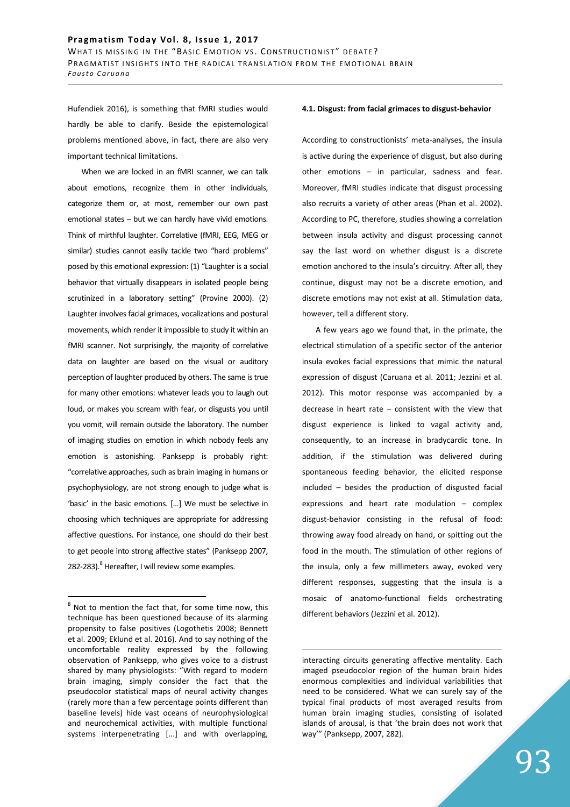Hufendiek 2016), is something that fMRI studies would hardly be able to clarify. Beside the epistemological problems mentioned above, in fact, there are also very important technical limitations.

When we are locked in an fMRI scanner, we can talk about emotions, recognize them in other individuals, categorize them or, at most, remember our own past emotional states – but we can hardly have vivid emotions. Think of mirthful laughter. Correlative (fMRI, EEG, MEG or similar) studies cannot easily tackle two "hard problems" posed by this emotional expression: (1) "Laughter is a social behavior that virtually disappears in isolated people being scrutinized in a laboratory setting" (Provine 2000). (2) Laughter involves facial grimaces, vocalizations and postural movements, which render it impossible to study it within an fMRI scanner. Not surprisingly, the majority of correlative data on laughter are based on the visual or auditory perception of laughter produced by others. The same is true for many other emotions: whatever leads you to laugh out loud, or makes you scream with fear, or disgusts you until you vomit, will remain outside the laboratory. The number of imaging studies on emotion in which nobody feels any emotion is astonishing. Panksepp is probably right: "correlative approaches, such as brain imaging in humans or psychophysiology, are not strong enough to judge what is 'basic' in the basic emotions. […] We must be selective in choosing which techniques are appropriate for addressing affective questions. For instance, one should do their best to get people into strong affective states" (Panksepp 2007, 282-283).<sup>8</sup> Hereafter, I will review some examples.

 $\overline{a}$ 

#### **4.1. Disgust: from facial grimaces to disgust-behavior**

According to constructionists' meta-analyses, the insula is active during the experience of disgust, but also during other emotions – in particular, sadness and fear. Moreover, fMRI studies indicate that disgust processing also recruits a variety of other areas (Phan et al. 2002). According to PC, therefore, studies showing a correlation between insula activity and disgust processing cannot say the last word on whether disgust is a discrete emotion anchored to the insula's circuitry. After all, they continue, disgust may not be a discrete emotion, and discrete emotions may not exist at all. Stimulation data, however, tell a different story.

A few years ago we found that, in the primate, the electrical stimulation of a specific sector of the anterior insula evokes facial expressions that mimic the natural expression of disgust (Caruana et al. 2011; Jezzini et al. 2012). This motor response was accompanied by a decrease in heart rate – consistent with the view that disgust experience is linked to vagal activity and, consequently, to an increase in bradycardic tone. In addition, if the stimulation was delivered during spontaneous feeding behavior, the elicited response included – besides the production of disgusted facial expressions and heart rate modulation – complex disgust-behavior consisting in the refusal of food: throwing away food already on hand, or spitting out the food in the mouth. The stimulation of other regions of the insula, only a few millimeters away, evoked very different responses, suggesting that the insula is a mosaic of anatomo-functional fields orchestrating different behaviors (Jezzini et al. 2012).

 $8$  Not to mention the fact that, for some time now, this technique has been questioned because of its alarming propensity to false positives (Logothetis 2008; Bennett et al. 2009; Eklund et al. 2016). And to say nothing of the uncomfortable reality expressed by the following observation of Panksepp, who gives voice to a distrust shared by many physiologists: "With regard to modern brain imaging, simply consider the fact that the pseudocolor statistical maps of neural activity changes (rarely more than a few percentage points different than baseline levels) hide vast oceans of neurophysiological and neurochemical activities, with multiple functional systems interpenetrating [...] and with overlapping,

interacting circuits generating affective mentality. Each imaged pseudocolor region of the human brain hides enormous complexities and individual variabilities that need to be considered. What we can surely say of the typical final products of most averaged results from human brain imaging studies, consisting of isolated islands of arousal, is that 'the brain does not work that way'" (Panksepp, 2007, 282).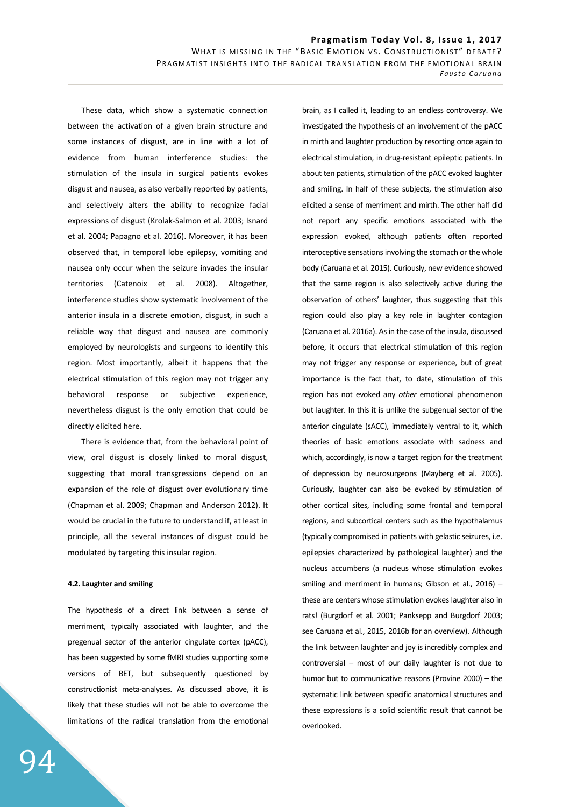These data, which show a systematic connection between the activation of a given brain structure and some instances of disgust, are in line with a lot of evidence from human interference studies: the stimulation of the insula in surgical patients evokes disgust and nausea, as also verbally reported by patients, and selectively alters the ability to recognize facial expressions of disgust (Krolak-Salmon et al. 2003; Isnard et al. 2004; Papagno et al. 2016). Moreover, it has been observed that, in temporal lobe epilepsy, vomiting and nausea only occur when the seizure invades the insular territories (Catenoix et al. 2008). Altogether, interference studies show systematic involvement of the anterior insula in a discrete emotion, disgust, in such a reliable way that disgust and nausea are commonly employed by neurologists and surgeons to identify this region. Most importantly, albeit it happens that the electrical stimulation of this region may not trigger any behavioral response or subjective experience, nevertheless disgust is the only emotion that could be directly elicited here.

There is evidence that, from the behavioral point of view, oral disgust is closely linked to moral disgust, suggesting that moral transgressions depend on an expansion of the role of disgust over evolutionary time (Chapman et al. 2009; Chapman and Anderson 2012). It would be crucial in the future to understand if, at least in principle, all the several instances of disgust could be modulated by targeting this insular region.

### **4.2. Laughter and smiling**

The hypothesis of a direct link between a sense of merriment, typically associated with laughter, and the pregenual sector of the anterior cingulate cortex (pACC), has been suggested by some fMRI studies supporting some versions of BET, but subsequently questioned by constructionist meta-analyses. As discussed above, it is likely that these studies will not be able to overcome the limitations of the radical translation from the emotional

brain, as I called it, leading to an endless controversy. We investigated the hypothesis of an involvement of the pACC in mirth and laughter production by resorting once again to electrical stimulation, in drug-resistant epileptic patients. In about ten patients, stimulation of the pACC evoked laughter and smiling. In half of these subjects, the stimulation also elicited a sense of merriment and mirth. The other half did not report any specific emotions associated with the expression evoked, although patients often reported interoceptive sensations involving the stomach or the whole body (Caruana et al. 2015). Curiously, new evidence showed that the same region is also selectively active during the observation of others' laughter, thus suggesting that this region could also play a key role in laughter contagion (Caruana et al. 2016a). As in the case of the insula, discussed before, it occurs that electrical stimulation of this region may not trigger any response or experience, but of great importance is the fact that, to date, stimulation of this region has not evoked any *other* emotional phenomenon but laughter. In this it is unlike the subgenual sector of the anterior cingulate (sACC), immediately ventral to it, which theories of basic emotions associate with sadness and which, accordingly, is now a target region for the treatment of depression by neurosurgeons (Mayberg et al. 2005). Curiously, laughter can also be evoked by stimulation of other cortical sites, including some frontal and temporal regions, and subcortical centers such as the hypothalamus (typically compromised in patients with gelastic seizures, i.e. epilepsies characterized by pathological laughter) and the nucleus accumbens (a nucleus whose stimulation evokes smiling and merriment in humans; Gibson et al.,  $2016$ ) – these are centers whose stimulation evokes laughter also in rats! (Burgdorf et al. 2001; Panksepp and Burgdorf 2003; see Caruana et al., 2015, 2016b for an overview). Although the link between laughter and joy is incredibly complex and controversial – most of our daily laughter is not due to humor but to communicative reasons (Provine 2000) – the systematic link between specific anatomical structures and these expressions is a solid scientific result that cannot be overlooked.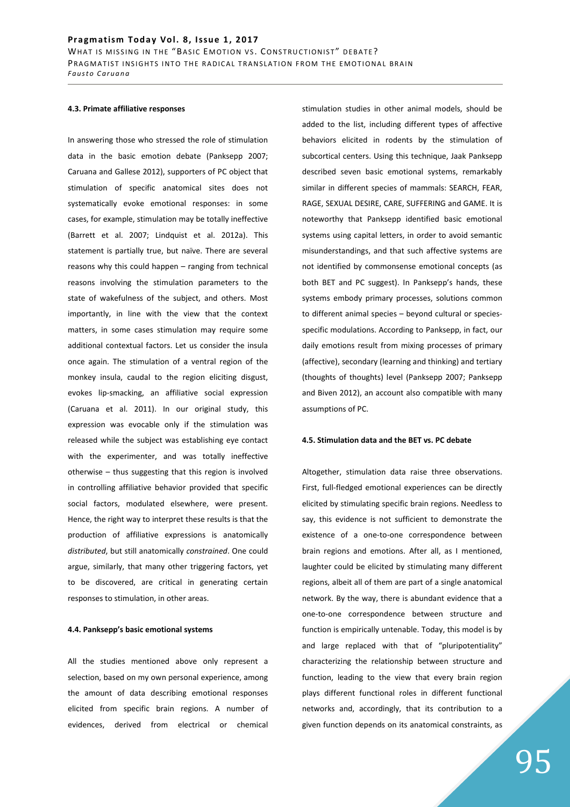### **4.3. Primate affiliative responses**

In answering those who stressed the role of stimulation data in the basic emotion debate (Panksepp 2007; Caruana and Gallese 2012), supporters of PC object that stimulation of specific anatomical sites does not systematically evoke emotional responses: in some cases, for example, stimulation may be totally ineffective (Barrett et al. 2007; Lindquist et al. 2012a). This statement is partially true, but naïve. There are several reasons why this could happen – ranging from technical reasons involving the stimulation parameters to the state of wakefulness of the subject, and others. Most importantly, in line with the view that the context matters, in some cases stimulation may require some additional contextual factors. Let us consider the insula once again. The stimulation of a ventral region of the monkey insula, caudal to the region eliciting disgust, evokes lip-smacking, an affiliative social expression (Caruana et al. 2011). In our original study, this expression was evocable only if the stimulation was released while the subject was establishing eye contact with the experimenter, and was totally ineffective otherwise – thus suggesting that this region is involved in controlling affiliative behavior provided that specific social factors, modulated elsewhere, were present. Hence, the right way to interpret these results is that the production of affiliative expressions is anatomically *distributed*, but still anatomically *constrained*. One could argue, similarly, that many other triggering factors, yet to be discovered, are critical in generating certain responses to stimulation, in other areas.

#### **4.4. Panksepp's basic emotional systems**

All the studies mentioned above only represent a selection, based on my own personal experience, among the amount of data describing emotional responses elicited from specific brain regions. A number of evidences, derived from electrical or chemical stimulation studies in other animal models, should be added to the list, including different types of affective behaviors elicited in rodents by the stimulation of subcortical centers. Using this technique, Jaak Panksepp described seven basic emotional systems, remarkably similar in different species of mammals: SEARCH, FEAR, RAGE, SEXUAL DESIRE, CARE, SUFFERING and GAME. It is noteworthy that Panksepp identified basic emotional systems using capital letters, in order to avoid semantic misunderstandings, and that such affective systems are not identified by commonsense emotional concepts (as both BET and PC suggest). In Panksepp's hands, these systems embody primary processes, solutions common to different animal species – beyond cultural or speciesspecific modulations. According to Panksepp, in fact, our daily emotions result from mixing processes of primary (affective), secondary (learning and thinking) and tertiary (thoughts of thoughts) level (Panksepp 2007; Panksepp and Biven 2012), an account also compatible with many assumptions of PC.

### **4.5. Stimulation data and the BET vs. PC debate**

Altogether, stimulation data raise three observations. First, full-fledged emotional experiences can be directly elicited by stimulating specific brain regions. Needless to say, this evidence is not sufficient to demonstrate the existence of a one-to-one correspondence between brain regions and emotions. After all, as I mentioned, laughter could be elicited by stimulating many different regions, albeit all of them are part of a single anatomical network. By the way, there is abundant evidence that a one-to-one correspondence between structure and function is empirically untenable. Today, this model is by and large replaced with that of "pluripotentiality" characterizing the relationship between structure and function, leading to the view that every brain region plays different functional roles in different functional networks and, accordingly, that its contribution to a given function depends on its anatomical constraints, as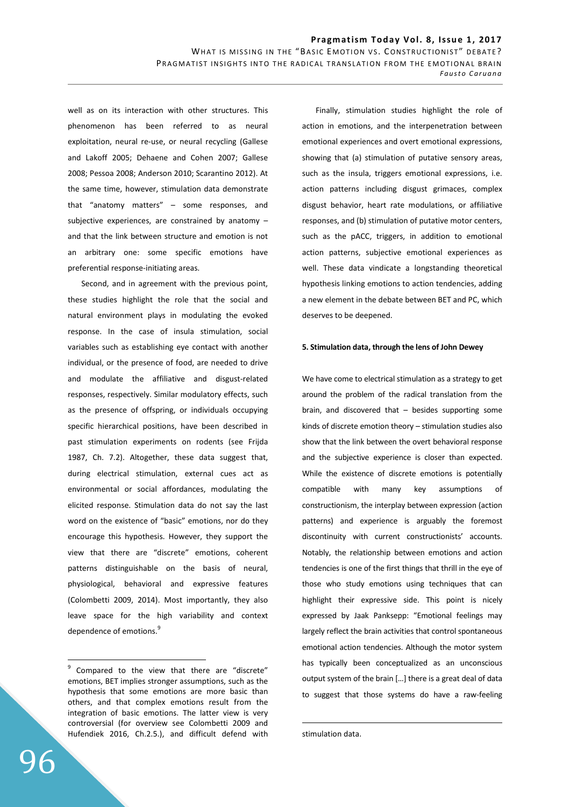well as on its interaction with other structures. This phenomenon has been referred to as neural exploitation, neural re-use, or neural recycling (Gallese and Lakoff 2005; Dehaene and Cohen 2007; Gallese 2008; Pessoa 2008; Anderson 2010; Scarantino 2012). At the same time, however, stimulation data demonstrate that "anatomy matters" – some responses, and subjective experiences, are constrained by anatomy – and that the link between structure and emotion is not an arbitrary one: some specific emotions have preferential response-initiating areas.

Second, and in agreement with the previous point, these studies highlight the role that the social and natural environment plays in modulating the evoked response. In the case of insula stimulation, social variables such as establishing eye contact with another individual, or the presence of food, are needed to drive and modulate the affiliative and disgust-related responses, respectively. Similar modulatory effects, such as the presence of offspring, or individuals occupying specific hierarchical positions, have been described in past stimulation experiments on rodents (see Frijda 1987, Ch. 7.2). Altogether, these data suggest that, during electrical stimulation, external cues act as environmental or social affordances, modulating the elicited response. Stimulation data do not say the last word on the existence of "basic" emotions, nor do they encourage this hypothesis. However, they support the view that there are "discrete" emotions, coherent patterns distinguishable on the basis of neural, physiological, behavioral and expressive features (Colombetti 2009, 2014). Most importantly, they also leave space for the high variability and context dependence of emotions.<sup>9</sup>

Finally, stimulation studies highlight the role of action in emotions, and the interpenetration between emotional experiences and overt emotional expressions, showing that (a) stimulation of putative sensory areas, such as the insula, triggers emotional expressions, i.e. action patterns including disgust grimaces, complex disgust behavior, heart rate modulations, or affiliative responses, and (b) stimulation of putative motor centers, such as the pACC, triggers, in addition to emotional action patterns, subjective emotional experiences as well. These data vindicate a longstanding theoretical hypothesis linking emotions to action tendencies, adding a new element in the debate between BET and PC, which deserves to be deepened.

#### **5. Stimulation data, through the lens of John Dewey**

We have come to electrical stimulation as a strategy to get around the problem of the radical translation from the brain, and discovered that – besides supporting some kinds of discrete emotion theory – stimulation studies also show that the link between the overt behavioral response and the subjective experience is closer than expected. While the existence of discrete emotions is potentially compatible with many key assumptions of constructionism, the interplay between expression (action patterns) and experience is arguably the foremost discontinuity with current constructionists' accounts. Notably, the relationship between emotions and action tendencies is one of the first things that thrill in the eye of those who study emotions using techniques that can highlight their expressive side. This point is nicely expressed by Jaak Panksepp: "Emotional feelings may largely reflect the brain activities that control spontaneous emotional action tendencies. Although the motor system has typically been conceptualized as an unconscious output system of the brain […] there is a great deal of data to suggest that those systems do have a raw-feeling

 $\overline{a}$ 

 $9$  Compared to the view that there are "discrete" emotions, BET implies stronger assumptions, such as the hypothesis that some emotions are more basic than others, and that complex emotions result from the integration of basic emotions. The latter view is very controversial (for overview see Colombetti 2009 and Hufendiek 2016, Ch.2.5.), and difficult defend with

stimulation data.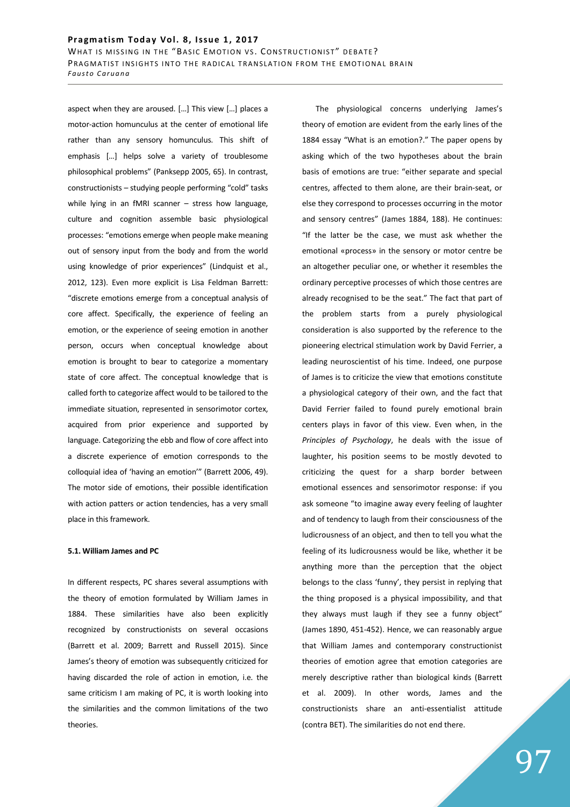aspect when they are aroused. […] This view […] places a motor-action homunculus at the center of emotional life rather than any sensory homunculus. This shift of emphasis […] helps solve a variety of troublesome philosophical problems" (Panksepp 2005, 65). In contrast, constructionists – studying people performing "cold" tasks while lying in an fMRI scanner - stress how language, culture and cognition assemble basic physiological processes: "emotions emerge when people make meaning out of sensory input from the body and from the world using knowledge of prior experiences" (Lindquist et al., 2012, 123). Even more explicit is Lisa Feldman Barrett: "discrete emotions emerge from a conceptual analysis of core affect. Specifically, the experience of feeling an emotion, or the experience of seeing emotion in another person, occurs when conceptual knowledge about emotion is brought to bear to categorize a momentary state of core affect. The conceptual knowledge that is called forth to categorize affect would to be tailored to the immediate situation, represented in sensorimotor cortex, acquired from prior experience and supported by language. Categorizing the ebb and flow of core affect into a discrete experience of emotion corresponds to the colloquial idea of 'having an emotion'" (Barrett 2006, 49). The motor side of emotions, their possible identification with action patters or action tendencies, has a very small place in this framework.

### **5.1. William James and PC**

In different respects, PC shares several assumptions with the theory of emotion formulated by William James in 1884. These similarities have also been explicitly recognized by constructionists on several occasions (Barrett et al. 2009; Barrett and Russell 2015). Since James's theory of emotion was subsequently criticized for having discarded the role of action in emotion, i.e. the same criticism I am making of PC, it is worth looking into the similarities and the common limitations of the two theories.

The physiological concerns underlying James's theory of emotion are evident from the early lines of the 1884 essay "What is an emotion?." The paper opens by asking which of the two hypotheses about the brain basis of emotions are true: "either separate and special centres, affected to them alone, are their brain-seat, or else they correspond to processes occurring in the motor and sensory centres" (James 1884, 188). He continues: "If the latter be the case, we must ask whether the emotional «process» in the sensory or motor centre be an altogether peculiar one, or whether it resembles the ordinary perceptive processes of which those centres are already recognised to be the seat." The fact that part of the problem starts from a purely physiological consideration is also supported by the reference to the pioneering electrical stimulation work by David Ferrier, a leading neuroscientist of his time. Indeed, one purpose of James is to criticize the view that emotions constitute a physiological category of their own, and the fact that David Ferrier failed to found purely emotional brain centers plays in favor of this view. Even when, in the *Principles of Psychology*, he deals with the issue of laughter, his position seems to be mostly devoted to criticizing the quest for a sharp border between emotional essences and sensorimotor response: if you ask someone "to imagine away every feeling of laughter and of tendency to laugh from their consciousness of the ludicrousness of an object, and then to tell you what the feeling of its ludicrousness would be like, whether it be anything more than the perception that the object belongs to the class 'funny', they persist in replying that the thing proposed is a physical impossibility, and that they always must laugh if they see a funny object" (James 1890, 451-452). Hence, we can reasonably argue that William James and contemporary constructionist theories of emotion agree that emotion categories are merely descriptive rather than biological kinds (Barrett et al. 2009). In other words, James and the constructionists share an anti-essentialist attitude (contra BET). The similarities do not end there.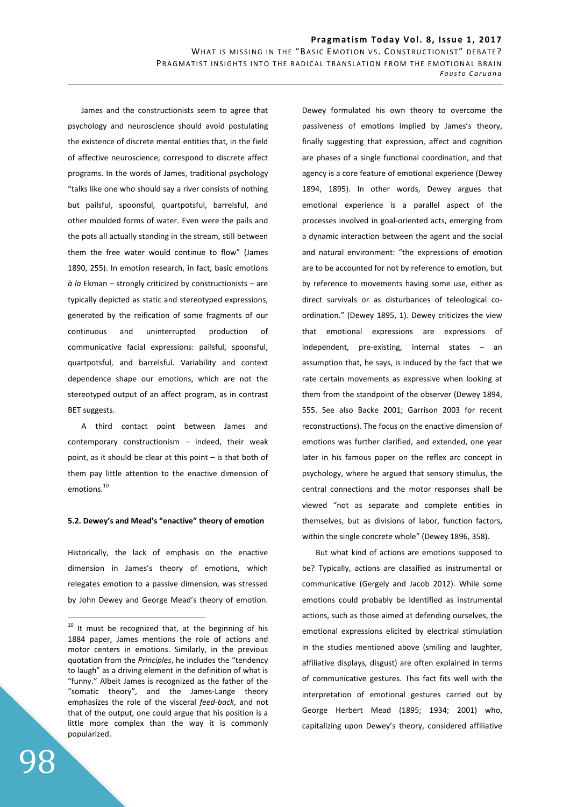James and the constructionists seem to agree that psychology and neuroscience should avoid postulating the existence of discrete mental entities that, in the field of affective neuroscience, correspond to discrete affect programs. In the words of James, traditional psychology "talks like one who should say a river consists of nothing but pailsful, spoonsful, quartpotsful, barrelsful, and other moulded forms of water. Even were the pails and the pots all actually standing in the stream, still between them the free water would continue to flow" (James 1890, 255). In emotion research, in fact, basic emotions *à la* Ekman – strongly criticized by constructionists – are typically depicted as static and stereotyped expressions, generated by the reification of some fragments of our continuous and uninterrupted production of communicative facial expressions: pailsful, spoonsful, quartpotsful, and barrelsful. Variability and context dependence shape our emotions, which are not the stereotyped output of an affect program, as in contrast BET suggests.

A third contact point between James and contemporary constructionism – indeed, their weak point, as it should be clear at this point – is that both of them pay little attention to the enactive dimension of emotions.<sup>10</sup>

### **5.2. Dewey's and Mead's "enactive" theory of emotion**

Historically, the lack of emphasis on the enactive dimension in James's theory of emotions, which relegates emotion to a passive dimension, was stressed by John Dewey and George Mead's theory of emotion. Dewey formulated his own theory to overcome the passiveness of emotions implied by James's theory, finally suggesting that expression, affect and cognition are phases of a single functional coordination, and that agency is a core feature of emotional experience (Dewey 1894, 1895). In other words, Dewey argues that emotional experience is a parallel aspect of the processes involved in goal-oriented acts, emerging from a dynamic interaction between the agent and the social and natural environment: "the expressions of emotion are to be accounted for not by reference to emotion, but by reference to movements having some use, either as direct survivals or as disturbances of teleological coordination." (Dewey 1895, 1). Dewey criticizes the view that emotional expressions are expressions of independent, pre-existing, internal states – an assumption that, he says, is induced by the fact that we rate certain movements as expressive when looking at them from the standpoint of the observer (Dewey 1894, 555. See also Backe 2001; Garrison 2003 for recent reconstructions). The focus on the enactive dimension of emotions was further clarified, and extended, one year later in his famous paper on the reflex arc concept in psychology, where he argued that sensory stimulus, the central connections and the motor responses shall be viewed "not as separate and complete entities in themselves, but as divisions of labor, function factors, within the single concrete whole" (Dewey 1896, 358).

But what kind of actions are emotions supposed to be? Typically, actions are classified as instrumental or communicative (Gergely and Jacob 2012). While some emotions could probably be identified as instrumental actions, such as those aimed at defending ourselves, the emotional expressions elicited by electrical stimulation in the studies mentioned above (smiling and laughter, affiliative displays, disgust) are often explained in terms of communicative gestures. This fact fits well with the interpretation of emotional gestures carried out by George Herbert Mead (1895; 1934; 2001) who, capitalizing upon Dewey's theory, considered affiliative

 $10$  It must be recognized that, at the beginning of his 1884 paper, James mentions the role of actions and motor centers in emotions. Similarly, in the previous quotation from the *Principles*, he includes the "tendency to laugh" as a driving element in the definition of what is "funny." Albeit James is recognized as the father of the "somatic theory", and the James-Lange theory emphasizes the role of the visceral *feed-back*, and not that of the output, one could argue that his position is a little more complex than the way it is commonly popularized.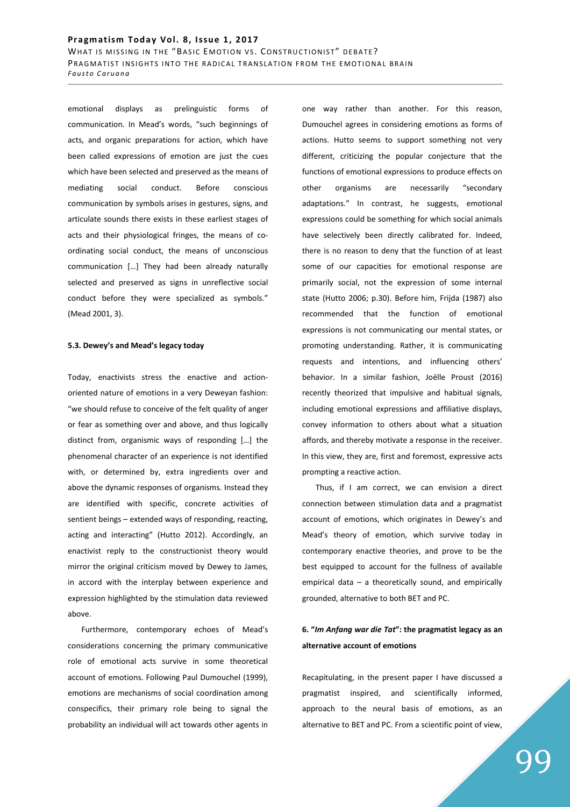emotional displays as prelinguistic forms of communication. In Mead's words, "such beginnings of acts, and organic preparations for action, which have been called expressions of emotion are just the cues which have been selected and preserved as the means of mediating social conduct. Before conscious communication by symbols arises in gestures, signs, and articulate sounds there exists in these earliest stages of acts and their physiological fringes, the means of coordinating social conduct, the means of unconscious communication […] They had been already naturally selected and preserved as signs in unreflective social conduct before they were specialized as symbols." (Mead 2001, 3).

#### **5.3. Dewey's and Mead's legacy today**

Today, enactivists stress the enactive and actionoriented nature of emotions in a very Deweyan fashion: "we should refuse to conceive of the felt quality of anger or fear as something over and above, and thus logically distinct from, organismic ways of responding […] the phenomenal character of an experience is not identified with, or determined by, extra ingredients over and above the dynamic responses of organisms. Instead they are identified with specific, concrete activities of sentient beings – extended ways of responding, reacting, acting and interacting" (Hutto 2012). Accordingly, an enactivist reply to the constructionist theory would mirror the original criticism moved by Dewey to James, in accord with the interplay between experience and expression highlighted by the stimulation data reviewed above.

Furthermore, contemporary echoes of Mead's considerations concerning the primary communicative role of emotional acts survive in some theoretical account of emotions. Following Paul Dumouchel (1999), emotions are mechanisms of social coordination among conspecifics, their primary role being to signal the probability an individual will act towards other agents in one way rather than another. For this reason, Dumouchel agrees in considering emotions as forms of actions. Hutto seems to support something not very different, criticizing the popular conjecture that the functions of emotional expressions to produce effects on other organisms are necessarily "secondary adaptations." In contrast, he suggests, emotional expressions could be something for which social animals have selectively been directly calibrated for. Indeed, there is no reason to deny that the function of at least some of our capacities for emotional response are primarily social, not the expression of some internal state (Hutto 2006; p.30). Before him, Frijda (1987) also recommended that the function of emotional expressions is not communicating our mental states, or promoting understanding. Rather, it is communicating requests and intentions, and influencing others' behavior. In a similar fashion, Joëlle Proust (2016) recently theorized that impulsive and habitual signals, including emotional expressions and affiliative displays, convey information to others about what a situation affords, and thereby motivate a response in the receiver. In this view, they are, first and foremost, expressive acts prompting a reactive action.

Thus, if I am correct, we can envision a direct connection between stimulation data and a pragmatist account of emotions, which originates in Dewey's and Mead's theory of emotion, which survive today in contemporary enactive theories, and prove to be the best equipped to account for the fullness of available empirical data – a theoretically sound, and empirically grounded, alternative to both BET and PC.

# **6. "***Im Anfang war die Tat***": the pragmatist legacy as an alternative account of emotions**

Recapitulating, in the present paper I have discussed a pragmatist inspired, and scientifically informed, approach to the neural basis of emotions, as an alternative to BET and PC. From a scientific point of view,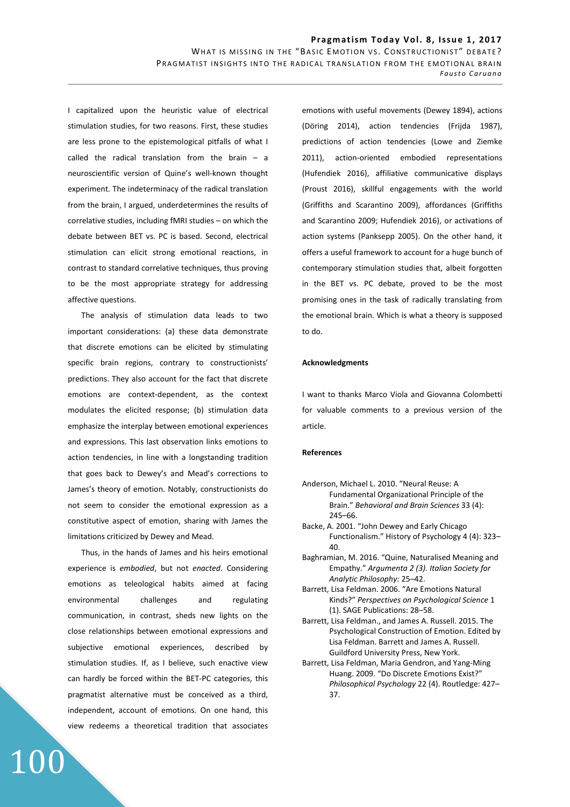I capitalized upon the heuristic value of electrical stimulation studies, for two reasons. First, these studies are less prone to the epistemological pitfalls of what I called the radical translation from the brain – a neuroscientific version of Quine's well-known thought experiment. The indeterminacy of the radical translation from the brain, I argued, underdetermines the results of correlative studies, including fMRI studies – on which the debate between BET vs. PC is based. Second, electrical stimulation can elicit strong emotional reactions, in contrast to standard correlative techniques, thus proving to be the most appropriate strategy for addressing affective questions.

The analysis of stimulation data leads to two important considerations: (a) these data demonstrate that discrete emotions can be elicited by stimulating specific brain regions, contrary to constructionists' predictions. They also account for the fact that discrete emotions are context-dependent, as the context modulates the elicited response; (b) stimulation data emphasize the interplay between emotional experiences and expressions. This last observation links emotions to action tendencies, in line with a longstanding tradition that goes back to Dewey's and Mead's corrections to James's theory of emotion. Notably, constructionists do not seem to consider the emotional expression as a constitutive aspect of emotion, sharing with James the limitations criticized by Dewey and Mead.

Thus, in the hands of James and his heirs emotional experience is *embodied*, but not *enacted*. Considering emotions as teleological habits aimed at facing environmental challenges and regulating communication, in contrast, sheds new lights on the close relationships between emotional expressions and subjective emotional experiences, described by stimulation studies. If, as I believe, such enactive view can hardly be forced within the BET-PC categories, this pragmatist alternative must be conceived as a third, independent, account of emotions. On one hand, this view redeems a theoretical tradition that associates

100

emotions with useful movements (Dewey 1894), actions (Döring 2014), action tendencies (Frijda 1987), predictions of action tendencies (Lowe and Ziemke 2011), action-oriented embodied representations (Hufendiek 2016), affiliative communicative displays (Proust 2016), skillful engagements with the world (Griffiths and Scarantino 2009), affordances (Griffiths and Scarantino 2009; Hufendiek 2016), or activations of action systems (Panksepp 2005). On the other hand, it offers a useful framework to account for a huge bunch of contemporary stimulation studies that, albeit forgotten in the BET vs. PC debate, proved to be the most promising ones in the task of radically translating from the emotional brain. Which is what a theory is supposed to do.

#### **Acknowledgments**

I want to thanks Marco Viola and Giovanna Colombetti for valuable comments to a previous version of the article.

#### **References**

- Anderson, Michael L. 2010. "Neural Reuse: A Fundamental Organizational Principle of the Brain." *Behavioral and Brain Sciences* 33 (4): 245–66.
- Backe, A. 2001. "John Dewey and Early Chicago Functionalism." History of Psychology 4 (4): 323– 40.
- Baghramian, M. 2016. "Quine, Naturalised Meaning and Empathy." *Argumenta 2 (3). Italian Society for Analytic Philosophy:* 25–42.
- Barrett, Lisa Feldman. 2006. "Are Emotions Natural Kinds?" *Perspectives on Psychological Science* 1 (1). SAGE Publications: 28–58.
- Barrett, Lisa Feldman., and James A. Russell. 2015. The Psychological Construction of Emotion. Edited by Lisa Feldman. Barrett and James A. Russell. Guildford University Press, New York.
- Barrett, Lisa Feldman, Maria Gendron, and Yang-Ming Huang. 2009. "Do Discrete Emotions Exist?" *Philosophical Psychology* 22 (4). Routledge: 427– 37.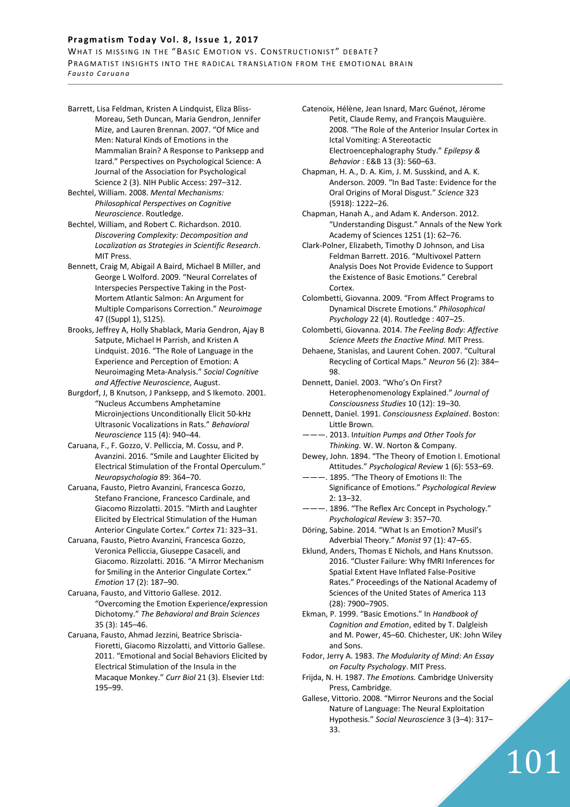# Pragmatism Today Vol. 8, Issue 1, 2017

WHAT IS MISSING IN THE "BASIC EMOTION VS. CONSTRUCTIONIST" DEBATE? PRAGMATIST INSIGHTS INTO THE RADICAL TRANSLATION FROM THE EMOTIONAL BRAIN *F a u s t o C a r u a n a*

Barrett, Lisa Feldman, Kristen A Lindquist, Eliza Bliss-Moreau, Seth Duncan, Maria Gendron, Jennifer Mize, and Lauren Brennan. 2007. "Of Mice and Men: Natural Kinds of Emotions in the Mammalian Brain? A Response to Panksepp and Izard." Perspectives on Psychological Science: A Journal of the Association for Psychological Science 2 (3). NIH Public Access: 297–312.

Bechtel, William. 2008. *Mental Mechanisms: Philosophical Perspectives on Cognitive Neuroscience*. Routledge.

Bechtel, William, and Robert C. Richardson. 2010. *Discovering Complexity: Decomposition and Localization as Strategies in Scientific Research*. MIT Press.

- Bennett, Craig M, Abigail A Baird, Michael B Miller, and George L Wolford. 2009. "Neural Correlates of Interspecies Perspective Taking in the Post-Mortem Atlantic Salmon: An Argument for Multiple Comparisons Correction." *Neuroimage* 47 ((Suppl 1), S125).
- Brooks, Jeffrey A, Holly Shablack, Maria Gendron, Ajay B Satpute, Michael H Parrish, and Kristen A Lindquist. 2016. "The Role of Language in the Experience and Perception of Emotion: A Neuroimaging Meta-Analysis." *Social Cognitive and Affective Neuroscience*, August.

Burgdorf, J, B Knutson, J Panksepp, and S Ikemoto. 2001. "Nucleus Accumbens Amphetamine Microinjections Unconditionally Elicit 50-kHz Ultrasonic Vocalizations in Rats." *Behavioral Neuroscience* 115 (4): 940–44.

- Caruana, F., F. Gozzo, V. Pelliccia, M. Cossu, and P. Avanzini. 2016. "Smile and Laughter Elicited by Electrical Stimulation of the Frontal Operculum." *Neuropsychologia* 89: 364–70.
- Caruana, Fausto, Pietro Avanzini, Francesca Gozzo, Stefano Francione, Francesco Cardinale, and Giacomo Rizzolatti. 2015. "Mirth and Laughter Elicited by Electrical Stimulation of the Human Anterior Cingulate Cortex." *Cortex* 71: 323–31.

Caruana, Fausto, Pietro Avanzini, Francesca Gozzo, Veronica Pelliccia, Giuseppe Casaceli, and Giacomo. Rizzolatti. 2016. "A Mirror Mechanism for Smiling in the Anterior Cingulate Cortex." *Emotion* 17 (2): 187–90.

Caruana, Fausto, and Vittorio Gallese. 2012. "Overcoming the Emotion Experience/expression Dichotomy." *The Behavioral and Brain Sciences* 35 (3): 145–46.

Caruana, Fausto, Ahmad Jezzini, Beatrice Sbriscia-Fioretti, Giacomo Rizzolatti, and Vittorio Gallese. 2011. "Emotional and Social Behaviors Elicited by Electrical Stimulation of the Insula in the Macaque Monkey." *Curr Biol* 21 (3). Elsevier Ltd: 195–99.

Catenoix, Hélène, Jean Isnard, Marc Guénot, Jérome Petit, Claude Remy, and François Mauguière. 2008. "The Role of the Anterior Insular Cortex in Ictal Vomiting: A Stereotactic Electroencephalography Study." *Epilepsy & Behavior*: E&B 13 (3): 560–63.

Chapman, H. A., D. A. Kim, J. M. Susskind, and A. K. Anderson. 2009. "In Bad Taste: Evidence for the Oral Origins of Moral Disgust." *Science* 323 (5918): 1222–26.

Chapman, Hanah A., and Adam K. Anderson. 2012. "Understanding Disgust." Annals of the New York Academy of Sciences 1251 (1): 62–76.

Clark-Polner, Elizabeth, Timothy D Johnson, and Lisa Feldman Barrett. 2016. "Multivoxel Pattern Analysis Does Not Provide Evidence to Support the Existence of Basic Emotions." Cerebral Cortex.

Colombetti, Giovanna. 2009. "From Affect Programs to Dynamical Discrete Emotions." *Philosophical Psychology* 22 (4). Routledge : 407–25.

Colombetti, Giovanna. 2014. *The Feeling Body: Affective Science Meets the Enactive Mind.* MIT Press.

Dehaene, Stanislas, and Laurent Cohen. 2007. "Cultural Recycling of Cortical Maps." *Neuron* 56 (2): 384– 98.

Dennett, Daniel. 2003. "Who's On First? Heterophenomenology Explained." *Journal of Consciousness Studies* 10 (12): 19–30.

Dennett, Daniel. 1991. *Consciousness Explained*. Boston: Little Brown.

———. 2013. I*ntuition Pumps and Other Tools for Thinking.* W. W. Norton & Company.

Dewey, John. 1894. "The Theory of Emotion I. Emotional Attitudes." *Psychological Review* 1 (6): 553–69.

--- 1895. "The Theory of Emotions II: The Significance of Emotions." *Psychological Review* 2: 13–32.

- --- 1896. "The Reflex Arc Concept in Psychology." *Psychological Review* 3: 357–70.
- Döring, Sabine. 2014. "What Is an Emotion? Musil's Adverbial Theory." *Monist* 97 (1): 47–65.

Eklund, Anders, Thomas E Nichols, and Hans Knutsson. 2016. "Cluster Failure: Why fMRI Inferences for Spatial Extent Have Inflated False-Positive Rates." Proceedings of the National Academy of Sciences of the United States of America 113 (28): 7900–7905.

Ekman, P. 1999. "Basic Emotions." In *Handbook of Cognition and Emotion*, edited by T. Dalgleish and M. Power, 45–60. Chichester, UK: John Wiley and Sons.

Fodor, Jerry A. 1983. *The Modularity of Mind: An Essay on Faculty Psychology*. MIT Press.

Frijda, N. H. 1987. *The Emotions.* Cambridge University Press, Cambridge.

Gallese, Vittorio. 2008. "Mirror Neurons and the Social Nature of Language: The Neural Exploitation Hypothesis." *Social Neuroscience* 3 (3–4): 317– 33.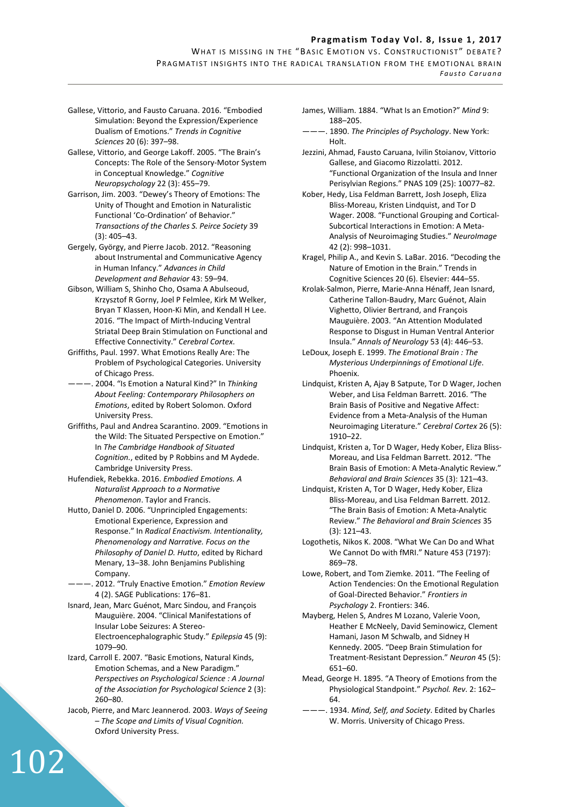- Gallese, Vittorio, and Fausto Caruana. 2016. "Embodied Simulation: Beyond the Expression/Experience Dualism of Emotions." *Trends in Cognitive Sciences* 20 (6): 397–98.
- Gallese, Vittorio, and George Lakoff. 2005. "The Brain's Concepts: The Role of the Sensory-Motor System in Conceptual Knowledge." *Cognitive Neuropsychology* 22 (3): 455–79.
- Garrison, Jim. 2003. "Dewey's Theory of Emotions: The Unity of Thought and Emotion in Naturalistic Functional 'Co-Ordination' of Behavior." *Transactions of the Charles S. Peirce Society* 39 (3): 405–43.
- Gergely, György, and Pierre Jacob. 2012. "Reasoning about Instrumental and Communicative Agency in Human Infancy." *Advances in Child Development and Behavior* 43: 59–94.
- Gibson, William S, Shinho Cho, Osama A Abulseoud, Krzysztof R Gorny, Joel P Felmlee, Kirk M Welker, Bryan T Klassen, Hoon-Ki Min, and Kendall H Lee. 2016. "The Impact of Mirth-Inducing Ventral Striatal Deep Brain Stimulation on Functional and Effective Connectivity." *Cerebral Cortex*.
- Griffiths, Paul. 1997. What Emotions Really Are: The Problem of Psychological Categories. University of Chicago Press.
- ———. 2004. "Is Emotion a Natural Kind?" In *Thinking About Feeling: Contemporary Philosophers on Emotions*, edited by Robert Solomon. Oxford University Press.
- Griffiths, Paul and Andrea Scarantino. 2009. "Emotions in the Wild: The Situated Perspective on Emotion." In *The Cambridge Handbook of Situated Cognition.*, edited by P Robbins and M Aydede. Cambridge University Press.
- Hufendiek, Rebekka. 2016. *Embodied Emotions. A Naturalist Approach to a Normative Phenomenon*. Taylor and Francis.
- Hutto, Daniel D. 2006. "Unprincipled Engagements: Emotional Experience, Expression and Response." In *Radical Enactivism. Intentionality, Phenomenology and Narrative. Focus on the Philosophy of Daniel D. Hutto*, edited by Richard Menary, 13–38. John Benjamins Publishing Company.
- ———. 2012. "Truly Enactive Emotion." *Emotion Review* 4 (2). SAGE Publications: 176–81.
- Isnard, Jean, Marc Guénot, Marc Sindou, and François Mauguière. 2004. "Clinical Manifestations of Insular Lobe Seizures: A Stereo-Electroencephalographic Study." *Epilepsia* 45 (9): 1079–90.
- Izard, Carroll E. 2007. "Basic Emotions, Natural Kinds, Emotion Schemas, and a New Paradigm." *Perspectives on Psychological Science : A Journal of the Association for Psychological Science* 2 (3): 260–80.
- Jacob, Pierre, and Marc Jeannerod. 2003. *Ways of Seeing – The Scope and Limits of Visual Cognition.* Oxford University Press.

- James, William. 1884. "What Is an Emotion?" *Mind* 9: 188–205.
- ———. 1890. *The Principles of Psychology*. New York: Holt.
- Jezzini, Ahmad, Fausto Caruana, Ivilin Stoianov, Vittorio Gallese, and Giacomo Rizzolatti. 2012. "Functional Organization of the Insula and Inner Perisylvian Regions." PNAS 109 (25): 10077–82.
- Kober, Hedy, Lisa Feldman Barrett, Josh Joseph, Eliza Bliss-Moreau, Kristen Lindquist, and Tor D Wager. 2008. "Functional Grouping and Cortical-Subcortical Interactions in Emotion: A Meta-Analysis of Neuroimaging Studies." *NeuroImage* 42 (2): 998–1031.
- Kragel, Philip A., and Kevin S. LaBar. 2016. "Decoding the Nature of Emotion in the Brain." Trends in Cognitive Sciences 20 (6). Elsevier: 444–55.
- Krolak-Salmon, Pierre, Marie-Anna Hénaff, Jean Isnard, Catherine Tallon-Baudry, Marc Guénot, Alain Vighetto, Olivier Bertrand, and François Mauguière. 2003. "An Attention Modulated Response to Disgust in Human Ventral Anterior Insula." *Annals of Neurology* 53 (4): 446–53.
- LeDoux, Joseph E. 1999. *The Emotional Brain : The Mysterious Underpinnings of Emotional Life*. Phoenix.
- Lindquist, Kristen A, Ajay B Satpute, Tor D Wager, Jochen Weber, and Lisa Feldman Barrett. 2016. "The Brain Basis of Positive and Negative Affect: Evidence from a Meta-Analysis of the Human Neuroimaging Literature." *Cerebral Cortex* 26 (5): 1910–22.
- Lindquist, Kristen a, Tor D Wager, Hedy Kober, Eliza Bliss-Moreau, and Lisa Feldman Barrett. 2012. "The Brain Basis of Emotion: A Meta-Analytic Review." *Behavioral and Brain Sciences* 35 (3): 121–43.
- Lindquist, Kristen A, Tor D Wager, Hedy Kober, Eliza Bliss-Moreau, and Lisa Feldman Barrett. 2012. "The Brain Basis of Emotion: A Meta-Analytic Review." *The Behavioral and Brain Sciences* 35 (3): 121–43.
- Logothetis, Nikos K. 2008. "What We Can Do and What We Cannot Do with fMRI." Nature 453 (7197): 869–78.
- Lowe, Robert, and Tom Ziemke. 2011. "The Feeling of Action Tendencies: On the Emotional Regulation of Goal-Directed Behavior." *Frontiers in Psychology* 2. Frontiers: 346.
- Mayberg, Helen S, Andres M Lozano, Valerie Voon, Heather E McNeely, David Seminowicz, Clement Hamani, Jason M Schwalb, and Sidney H Kennedy. 2005. "Deep Brain Stimulation for Treatment-Resistant Depression." *Neuron* 45 (5): 651–60.
- Mead, George H. 1895. "A Theory of Emotions from the Physiological Standpoint." *Psychol. Rev*. 2: 162– 64.
- ———. 1934. *Mind, Self, and Society*. Edited by Charles W. Morris. University of Chicago Press.